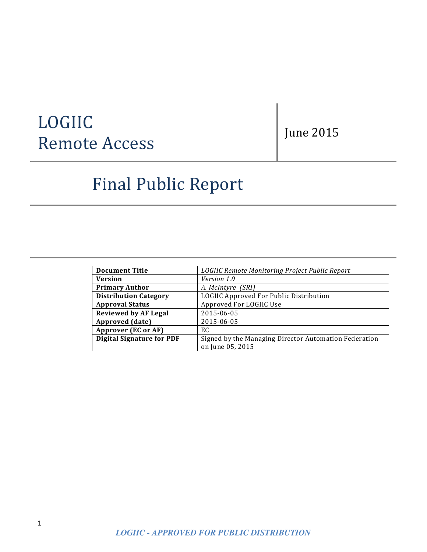# LOGIIC **Remote Access**

June 2015

# Final Public Report

| <b>Document Title</b>            | LOGIIC Remote Monitoring Project Public Report        |
|----------------------------------|-------------------------------------------------------|
| <b>Version</b>                   | Version 1.0                                           |
| <b>Primary Author</b>            | A. McIntyre (SRI)                                     |
| <b>Distribution Category</b>     | LOGIIC Approved For Public Distribution               |
| <b>Approval Status</b>           | Approved For LOGIIC Use                               |
| <b>Reviewed by AF Legal</b>      | 2015-06-05                                            |
| Approved (date)                  | 2015-06-05                                            |
| Approver (EC or AF)              | EC                                                    |
| <b>Digital Signature for PDF</b> | Signed by the Managing Director Automation Federation |
|                                  | on June 05, 2015                                      |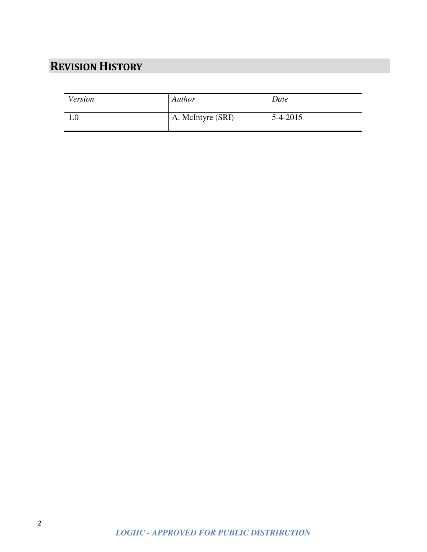# **REVISION HISTORY**

| Version | Author            | Date       |
|---------|-------------------|------------|
|         | A. McIntyre (SRI) | $5-4-2015$ |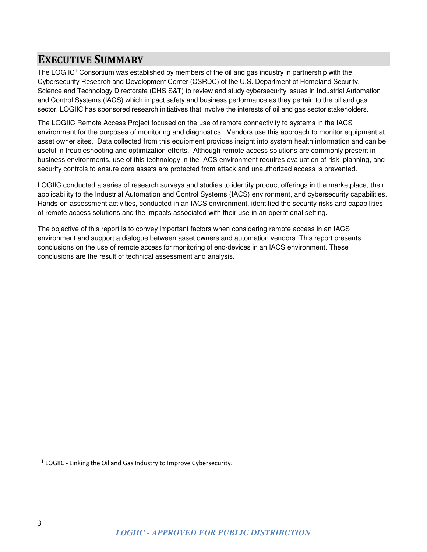### **EXECUTIVE SUMMARY**

The LOGIIC<sup>1</sup> Consortium was established by members of the oil and gas industry in partnership with the Cybersecurity Research and Development Center (CSRDC) of the U.S. Department of Homeland Security, Science and Technology Directorate (DHS S&T) to review and study cybersecurity issues in Industrial Automation and Control Systems (IACS) which impact safety and business performance as they pertain to the oil and gas sector. LOGIIC has sponsored research initiatives that involve the interests of oil and gas sector stakeholders.

The LOGIIC Remote Access Project focused on the use of remote connectivity to systems in the IACS environment for the purposes of monitoring and diagnostics. Vendors use this approach to monitor equipment at asset owner sites. Data collected from this equipment provides insight into system health information and can be useful in troubleshooting and optimization efforts. Although remote access solutions are commonly present in business environments, use of this technology in the IACS environment requires evaluation of risk, planning, and security controls to ensure core assets are protected from attack and unauthorized access is prevented.

LOGIIC conducted a series of research surveys and studies to identify product offerings in the marketplace, their applicability to the Industrial Automation and Control Systems (IACS) environment, and cybersecurity capabilities. Hands-on assessment activities, conducted in an IACS environment, identified the security risks and capabilities of remote access solutions and the impacts associated with their use in an operational setting.

The objective of this report is to convey important factors when considering remote access in an IACS environment and support a dialogue between asset owners and automation vendors. This report presents conclusions on the use of remote access for monitoring of end-devices in an IACS environment. These conclusions are the result of technical assessment and analysis.

<u>.</u>

 $1$  LOGIIC - Linking the Oil and Gas Industry to Improve Cybersecurity.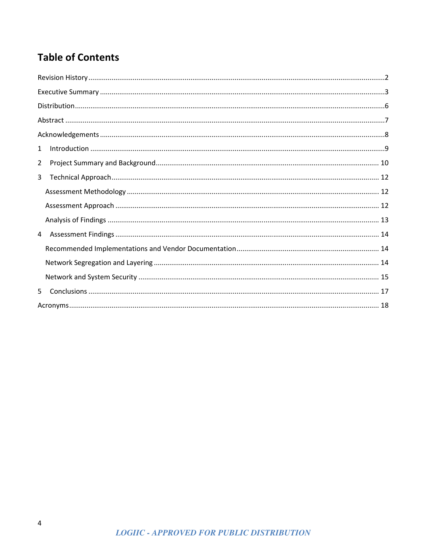# **Table of Contents**

| 1              |  |  |  |
|----------------|--|--|--|
| $\overline{2}$ |  |  |  |
| 3              |  |  |  |
|                |  |  |  |
|                |  |  |  |
|                |  |  |  |
| $\overline{4}$ |  |  |  |
|                |  |  |  |
|                |  |  |  |
|                |  |  |  |
| 5              |  |  |  |
|                |  |  |  |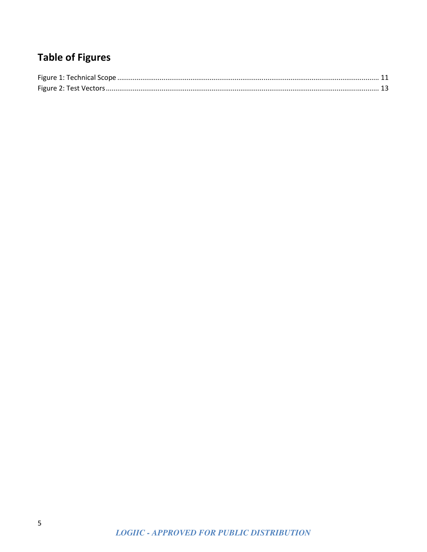# **Table of Figures**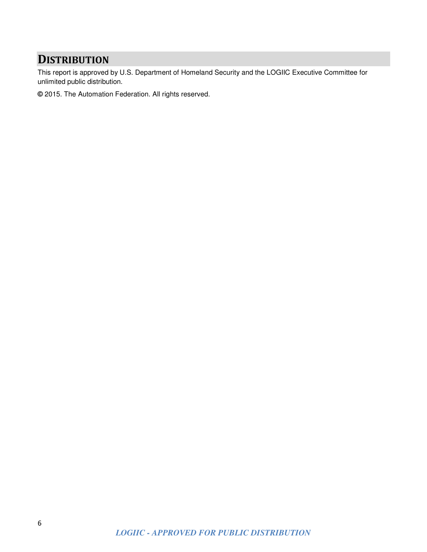### **DISTRIBUTION**

This report is approved by U.S. Department of Homeland Security and the LOGIIC Executive Committee for unlimited public distribution.

**©** 2015. The Automation Federation. All rights reserved.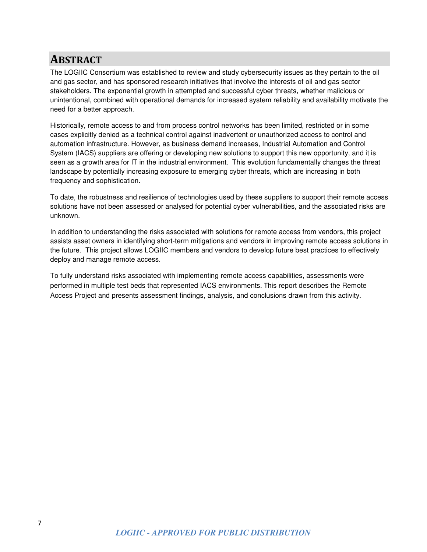### **ABSTRACT**

The LOGIIC Consortium was established to review and study cybersecurity issues as they pertain to the oil and gas sector, and has sponsored research initiatives that involve the interests of oil and gas sector stakeholders. The exponential growth in attempted and successful cyber threats, whether malicious or unintentional, combined with operational demands for increased system reliability and availability motivate the need for a better approach.

Historically, remote access to and from process control networks has been limited, restricted or in some cases explicitly denied as a technical control against inadvertent or unauthorized access to control and automation infrastructure. However, as business demand increases, Industrial Automation and Control System (IACS) suppliers are offering or developing new solutions to support this new opportunity, and it is seen as a growth area for IT in the industrial environment. This evolution fundamentally changes the threat landscape by potentially increasing exposure to emerging cyber threats, which are increasing in both frequency and sophistication.

To date, the robustness and resilience of technologies used by these suppliers to support their remote access solutions have not been assessed or analysed for potential cyber vulnerabilities, and the associated risks are unknown.

In addition to understanding the risks associated with solutions for remote access from vendors, this project assists asset owners in identifying short-term mitigations and vendors in improving remote access solutions in the future. This project allows LOGIIC members and vendors to develop future best practices to effectively deploy and manage remote access.

To fully understand risks associated with implementing remote access capabilities, assessments were performed in multiple test beds that represented IACS environments. This report describes the Remote Access Project and presents assessment findings, analysis, and conclusions drawn from this activity.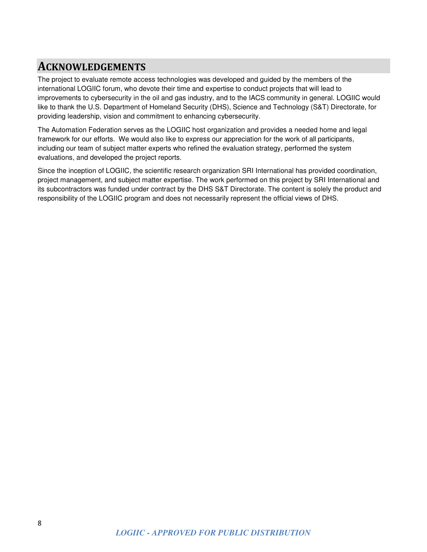## **ACKNOWLEDGEMENTS**

The project to evaluate remote access technologies was developed and guided by the members of the international LOGIIC forum, who devote their time and expertise to conduct projects that will lead to improvements to cybersecurity in the oil and gas industry, and to the IACS community in general. LOGIIC would like to thank the U.S. Department of Homeland Security (DHS), Science and Technology (S&T) Directorate, for providing leadership, vision and commitment to enhancing cybersecurity.

The Automation Federation serves as the LOGIIC host organization and provides a needed home and legal framework for our efforts. We would also like to express our appreciation for the work of all participants, including our team of subject matter experts who refined the evaluation strategy, performed the system evaluations, and developed the project reports.

Since the inception of LOGIIC, the scientific research organization SRI International has provided coordination, project management, and subject matter expertise. The work performed on this project by SRI International and its subcontractors was funded under contract by the DHS S&T Directorate. The content is solely the product and responsibility of the LOGIIC program and does not necessarily represent the official views of DHS.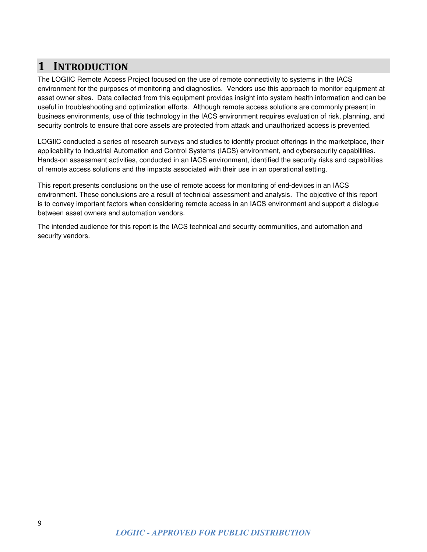# **1 INTRODUCTION**

The LOGIIC Remote Access Project focused on the use of remote connectivity to systems in the IACS environment for the purposes of monitoring and diagnostics. Vendors use this approach to monitor equipment at asset owner sites. Data collected from this equipment provides insight into system health information and can be useful in troubleshooting and optimization efforts. Although remote access solutions are commonly present in business environments, use of this technology in the IACS environment requires evaluation of risk, planning, and security controls to ensure that core assets are protected from attack and unauthorized access is prevented.

LOGIIC conducted a series of research surveys and studies to identify product offerings in the marketplace, their applicability to Industrial Automation and Control Systems (IACS) environment, and cybersecurity capabilities. Hands-on assessment activities, conducted in an IACS environment, identified the security risks and capabilities of remote access solutions and the impacts associated with their use in an operational setting.

This report presents conclusions on the use of remote access for monitoring of end-devices in an IACS environment. These conclusions are a result of technical assessment and analysis. The objective of this report is to convey important factors when considering remote access in an IACS environment and support a dialogue between asset owners and automation vendors.

The intended audience for this report is the IACS technical and security communities, and automation and security vendors.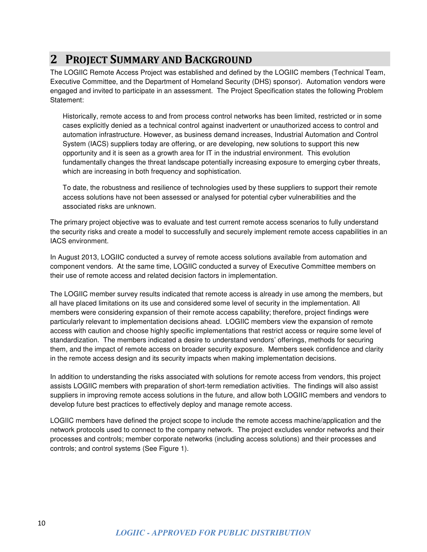## **2 PROJECT SUMMARY AND BACKGROUND**

The LOGIIC Remote Access Project was established and defined by the LOGIIC members (Technical Team, Executive Committee, and the Department of Homeland Security (DHS) sponsor). Automation vendors were engaged and invited to participate in an assessment. The Project Specification states the following Problem Statement:

Historically, remote access to and from process control networks has been limited, restricted or in some cases explicitly denied as a technical control against inadvertent or unauthorized access to control and automation infrastructure. However, as business demand increases, Industrial Automation and Control System (IACS) suppliers today are offering, or are developing, new solutions to support this new opportunity and it is seen as a growth area for IT in the industrial environment. This evolution fundamentally changes the threat landscape potentially increasing exposure to emerging cyber threats, which are increasing in both frequency and sophistication.

To date, the robustness and resilience of technologies used by these suppliers to support their remote access solutions have not been assessed or analysed for potential cyber vulnerabilities and the associated risks are unknown.

The primary project objective was to evaluate and test current remote access scenarios to fully understand the security risks and create a model to successfully and securely implement remote access capabilities in an IACS environment.

In August 2013, LOGIIC conducted a survey of remote access solutions available from automation and component vendors. At the same time, LOGIIC conducted a survey of Executive Committee members on their use of remote access and related decision factors in implementation.

The LOGIIC member survey results indicated that remote access is already in use among the members, but all have placed limitations on its use and considered some level of security in the implementation. All members were considering expansion of their remote access capability; therefore, project findings were particularly relevant to implementation decisions ahead. LOGIIC members view the expansion of remote access with caution and choose highly specific implementations that restrict access or require some level of standardization. The members indicated a desire to understand vendors' offerings, methods for securing them, and the impact of remote access on broader security exposure. Members seek confidence and clarity in the remote access design and its security impacts when making implementation decisions.

In addition to understanding the risks associated with solutions for remote access from vendors, this project assists LOGIIC members with preparation of short-term remediation activities. The findings will also assist suppliers in improving remote access solutions in the future, and allow both LOGIIC members and vendors to develop future best practices to effectively deploy and manage remote access.

LOGIIC members have defined the project scope to include the remote access machine/application and the network protocols used to connect to the company network. The project excludes vendor networks and their processes and controls; member corporate networks (including access solutions) and their processes and controls; and control systems (See Figure 1).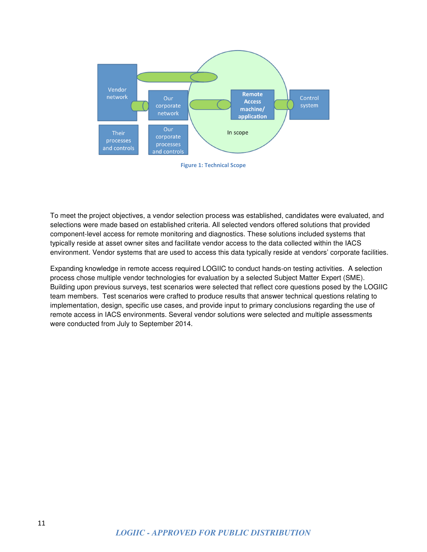

**Figure 1: Technical Scope**

To meet the project objectives, a vendor selection process was established, candidates were evaluated, and selections were made based on established criteria. All selected vendors offered solutions that provided component-level access for remote monitoring and diagnostics. These solutions included systems that typically reside at asset owner sites and facilitate vendor access to the data collected within the IACS environment. Vendor systems that are used to access this data typically reside at vendors' corporate facilities.

Expanding knowledge in remote access required LOGIIC to conduct hands-on testing activities. A selection process chose multiple vendor technologies for evaluation by a selected Subject Matter Expert (SME). Building upon previous surveys, test scenarios were selected that reflect core questions posed by the LOGIIC team members. Test scenarios were crafted to produce results that answer technical questions relating to implementation, design, specific use cases, and provide input to primary conclusions regarding the use of remote access in IACS environments. Several vendor solutions were selected and multiple assessments were conducted from July to September 2014.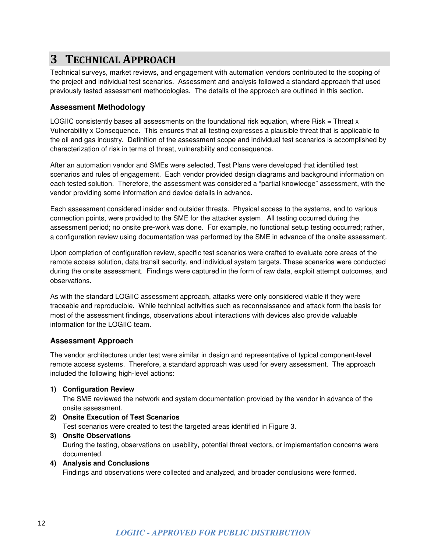## **3 TECHNICAL APPROACH**

Technical surveys, market reviews, and engagement with automation vendors contributed to the scoping of the project and individual test scenarios. Assessment and analysis followed a standard approach that used previously tested assessment methodologies. The details of the approach are outlined in this section.

#### **Assessment Methodology**

LOGIIC consistently bases all assessments on the foundational risk equation, where Risk = Threat x Vulnerability x Consequence. This ensures that all testing expresses a plausible threat that is applicable to the oil and gas industry. Definition of the assessment scope and individual test scenarios is accomplished by characterization of risk in terms of threat, vulnerability and consequence.

After an automation vendor and SMEs were selected, Test Plans were developed that identified test scenarios and rules of engagement. Each vendor provided design diagrams and background information on each tested solution. Therefore, the assessment was considered a "partial knowledge" assessment, with the vendor providing some information and device details in advance.

Each assessment considered insider and outsider threats. Physical access to the systems, and to various connection points, were provided to the SME for the attacker system. All testing occurred during the assessment period; no onsite pre-work was done. For example, no functional setup testing occurred; rather, a configuration review using documentation was performed by the SME in advance of the onsite assessment.

Upon completion of configuration review, specific test scenarios were crafted to evaluate core areas of the remote access solution, data transit security, and individual system targets. These scenarios were conducted during the onsite assessment. Findings were captured in the form of raw data, exploit attempt outcomes, and observations.

As with the standard LOGIIC assessment approach, attacks were only considered viable if they were traceable and reproducible. While technical activities such as reconnaissance and attack form the basis for most of the assessment findings, observations about interactions with devices also provide valuable information for the LOGIIC team.

#### **Assessment Approach**

The vendor architectures under test were similar in design and representative of typical component-level remote access systems. Therefore, a standard approach was used for every assessment. The approach included the following high-level actions:

#### **1) Configuration Review**

The SME reviewed the network and system documentation provided by the vendor in advance of the onsite assessment.

- **2) Onsite Execution of Test Scenarios**  Test scenarios were created to test the targeted areas identified in Figure 3.
- **3) Onsite Observations**  During the testing, observations on usability, potential threat vectors, or implementation concerns were documented.
- **4) Analysis and Conclusions**

Findings and observations were collected and analyzed, and broader conclusions were formed.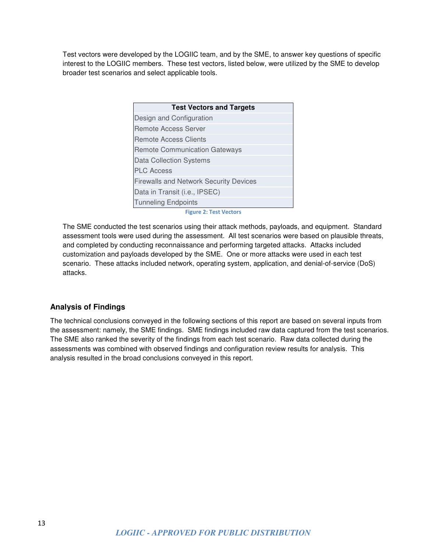Test vectors were developed by the LOGIIC team, and by the SME, to answer key questions of specific interest to the LOGIIC members. These test vectors, listed below, were utilized by the SME to develop broader test scenarios and select applicable tools.

| <b>Test Vectors and Targets</b>               |  |  |
|-----------------------------------------------|--|--|
| Design and Configuration                      |  |  |
| <b>Remote Access Server</b>                   |  |  |
| <b>Remote Access Clients</b>                  |  |  |
| <b>Remote Communication Gateways</b>          |  |  |
| <b>Data Collection Systems</b>                |  |  |
| <b>PLC Access</b>                             |  |  |
| <b>Firewalls and Network Security Devices</b> |  |  |
| Data in Transit (i.e., IPSEC)                 |  |  |
| <b>Tunneling Endpoints</b>                    |  |  |

**Figure 2: Test Vectors**

The SME conducted the test scenarios using their attack methods, payloads, and equipment. Standard assessment tools were used during the assessment. All test scenarios were based on plausible threats, and completed by conducting reconnaissance and performing targeted attacks. Attacks included customization and payloads developed by the SME. One or more attacks were used in each test scenario. These attacks included network, operating system, application, and denial-of-service (DoS) attacks.

#### **Analysis of Findings**

The technical conclusions conveyed in the following sections of this report are based on several inputs from the assessment: namely, the SME findings. SME findings included raw data captured from the test scenarios. The SME also ranked the severity of the findings from each test scenario. Raw data collected during the assessments was combined with observed findings and configuration review results for analysis. This analysis resulted in the broad conclusions conveyed in this report.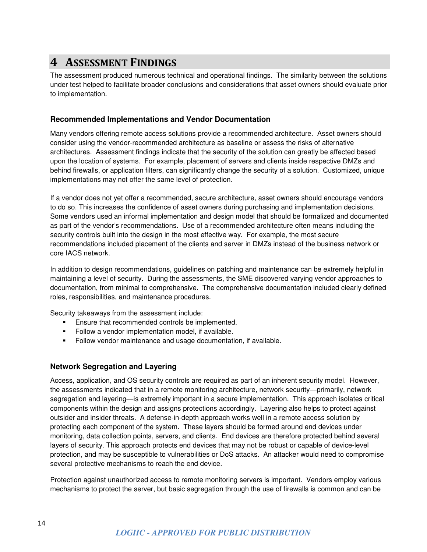### **4 ASSESSMENT FINDINGS**

The assessment produced numerous technical and operational findings. The similarity between the solutions under test helped to facilitate broader conclusions and considerations that asset owners should evaluate prior to implementation.

#### **Recommended Implementations and Vendor Documentation**

Many vendors offering remote access solutions provide a recommended architecture. Asset owners should consider using the vendor-recommended architecture as baseline or assess the risks of alternative architectures. Assessment findings indicate that the security of the solution can greatly be affected based upon the location of systems. For example, placement of servers and clients inside respective DMZs and behind firewalls, or application filters, can significantly change the security of a solution. Customized, unique implementations may not offer the same level of protection.

If a vendor does not yet offer a recommended, secure architecture, asset owners should encourage vendors to do so. This increases the confidence of asset owners during purchasing and implementation decisions. Some vendors used an informal implementation and design model that should be formalized and documented as part of the vendor's recommendations. Use of a recommended architecture often means including the security controls built into the design in the most effective way. For example, the most secure recommendations included placement of the clients and server in DMZs instead of the business network or core IACS network.

In addition to design recommendations, guidelines on patching and maintenance can be extremely helpful in maintaining a level of security. During the assessments, the SME discovered varying vendor approaches to documentation, from minimal to comprehensive. The comprehensive documentation included clearly defined roles, responsibilities, and maintenance procedures.

Security takeaways from the assessment include:

- **Ensure that recommended controls be implemented.**
- Follow a vendor implementation model, if available.
- Follow vendor maintenance and usage documentation, if available.

#### **Network Segregation and Layering**

Access, application, and OS security controls are required as part of an inherent security model. However, the assessments indicated that in a remote monitoring architecture, network security—primarily, network segregation and layering—is extremely important in a secure implementation. This approach isolates critical components within the design and assigns protections accordingly. Layering also helps to protect against outsider and insider threats. A defense-in-depth approach works well in a remote access solution by protecting each component of the system. These layers should be formed around end devices under monitoring, data collection points, servers, and clients. End devices are therefore protected behind several layers of security. This approach protects end devices that may not be robust or capable of device-level protection, and may be susceptible to vulnerabilities or DoS attacks. An attacker would need to compromise several protective mechanisms to reach the end device.

Protection against unauthorized access to remote monitoring servers is important. Vendors employ various mechanisms to protect the server, but basic segregation through the use of firewalls is common and can be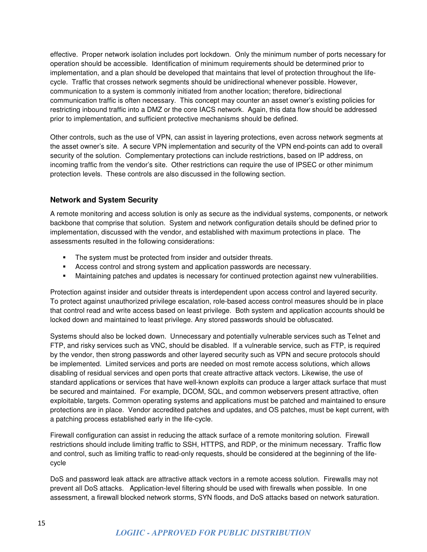effective. Proper network isolation includes port lockdown. Only the minimum number of ports necessary for operation should be accessible. Identification of minimum requirements should be determined prior to implementation, and a plan should be developed that maintains that level of protection throughout the lifecycle. Traffic that crosses network segments should be unidirectional whenever possible. However, communication to a system is commonly initiated from another location; therefore, bidirectional communication traffic is often necessary. This concept may counter an asset owner's existing policies for restricting inbound traffic into a DMZ or the core IACS network. Again, this data flow should be addressed prior to implementation, and sufficient protective mechanisms should be defined.

Other controls, such as the use of VPN, can assist in layering protections, even across network segments at the asset owner's site. A secure VPN implementation and security of the VPN end-points can add to overall security of the solution. Complementary protections can include restrictions, based on IP address, on incoming traffic from the vendor's site. Other restrictions can require the use of IPSEC or other minimum protection levels. These controls are also discussed in the following section.

#### **Network and System Security**

A remote monitoring and access solution is only as secure as the individual systems, components, or network backbone that comprise that solution. System and network configuration details should be defined prior to implementation, discussed with the vendor, and established with maximum protections in place. The assessments resulted in the following considerations:

- The system must be protected from insider and outsider threats.
- Access control and strong system and application passwords are necessary.
- **Maintaining patches and updates is necessary for continued protection against new vulnerabilities.**

Protection against insider and outsider threats is interdependent upon access control and layered security. To protect against unauthorized privilege escalation, role-based access control measures should be in place that control read and write access based on least privilege. Both system and application accounts should be locked down and maintained to least privilege. Any stored passwords should be obfuscated.

Systems should also be locked down. Unnecessary and potentially vulnerable services such as Telnet and FTP, and risky services such as VNC, should be disabled. If a vulnerable service, such as FTP, is required by the vendor, then strong passwords and other layered security such as VPN and secure protocols should be implemented. Limited services and ports are needed on most remote access solutions, which allows disabling of residual services and open ports that create attractive attack vectors. Likewise, the use of standard applications or services that have well-known exploits can produce a larger attack surface that must be secured and maintained. For example, DCOM, SQL, and common webservers present attractive, often exploitable, targets. Common operating systems and applications must be patched and maintained to ensure protections are in place. Vendor accredited patches and updates, and OS patches, must be kept current, with a patching process established early in the life-cycle.

Firewall configuration can assist in reducing the attack surface of a remote monitoring solution. Firewall restrictions should include limiting traffic to SSH, HTTPS, and RDP, or the minimum necessary. Traffic flow and control, such as limiting traffic to read-only requests, should be considered at the beginning of the lifecycle

DoS and password leak attack are attractive attack vectors in a remote access solution. Firewalls may not prevent all DoS attacks. Application-level filtering should be used with firewalls when possible. In one assessment, a firewall blocked network storms, SYN floods, and DoS attacks based on network saturation.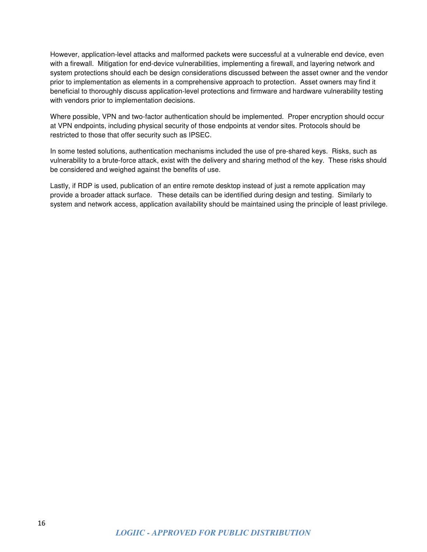However, application-level attacks and malformed packets were successful at a vulnerable end device, even with a firewall. Mitigation for end-device vulnerabilities, implementing a firewall, and layering network and system protections should each be design considerations discussed between the asset owner and the vendor prior to implementation as elements in a comprehensive approach to protection. Asset owners may find it beneficial to thoroughly discuss application-level protections and firmware and hardware vulnerability testing with vendors prior to implementation decisions.

Where possible, VPN and two-factor authentication should be implemented. Proper encryption should occur at VPN endpoints, including physical security of those endpoints at vendor sites. Protocols should be restricted to those that offer security such as IPSEC.

In some tested solutions, authentication mechanisms included the use of pre-shared keys. Risks, such as vulnerability to a brute-force attack, exist with the delivery and sharing method of the key. These risks should be considered and weighed against the benefits of use.

Lastly, if RDP is used, publication of an entire remote desktop instead of just a remote application may provide a broader attack surface. These details can be identified during design and testing. Similarly to system and network access, application availability should be maintained using the principle of least privilege.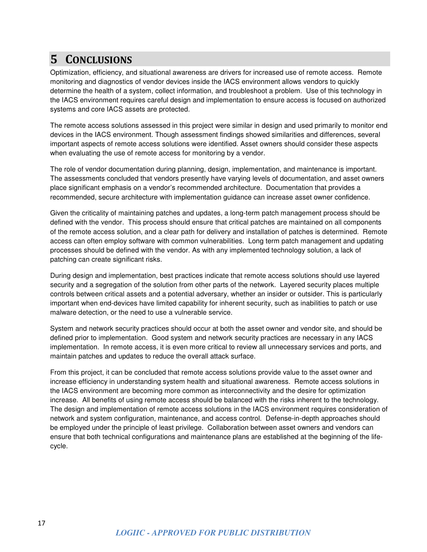## **5 CONCLUSIONS**

Optimization, efficiency, and situational awareness are drivers for increased use of remote access. Remote monitoring and diagnostics of vendor devices inside the IACS environment allows vendors to quickly determine the health of a system, collect information, and troubleshoot a problem. Use of this technology in the IACS environment requires careful design and implementation to ensure access is focused on authorized systems and core IACS assets are protected.

The remote access solutions assessed in this project were similar in design and used primarily to monitor end devices in the IACS environment. Though assessment findings showed similarities and differences, several important aspects of remote access solutions were identified. Asset owners should consider these aspects when evaluating the use of remote access for monitoring by a vendor.

The role of vendor documentation during planning, design, implementation, and maintenance is important. The assessments concluded that vendors presently have varying levels of documentation, and asset owners place significant emphasis on a vendor's recommended architecture. Documentation that provides a recommended, secure architecture with implementation guidance can increase asset owner confidence.

Given the criticality of maintaining patches and updates, a long-term patch management process should be defined with the vendor. This process should ensure that critical patches are maintained on all components of the remote access solution, and a clear path for delivery and installation of patches is determined. Remote access can often employ software with common vulnerabilities. Long term patch management and updating processes should be defined with the vendor. As with any implemented technology solution, a lack of patching can create significant risks.

During design and implementation, best practices indicate that remote access solutions should use layered security and a segregation of the solution from other parts of the network. Layered security places multiple controls between critical assets and a potential adversary, whether an insider or outsider. This is particularly important when end-devices have limited capability for inherent security, such as inabilities to patch or use malware detection, or the need to use a vulnerable service.

System and network security practices should occur at both the asset owner and vendor site, and should be defined prior to implementation. Good system and network security practices are necessary in any IACS implementation. In remote access, it is even more critical to review all unnecessary services and ports, and maintain patches and updates to reduce the overall attack surface.

From this project, it can be concluded that remote access solutions provide value to the asset owner and increase efficiency in understanding system health and situational awareness. Remote access solutions in the IACS environment are becoming more common as interconnectivity and the desire for optimization increase. All benefits of using remote access should be balanced with the risks inherent to the technology. The design and implementation of remote access solutions in the IACS environment requires consideration of network and system configuration, maintenance, and access control. Defense-in-depth approaches should be employed under the principle of least privilege. Collaboration between asset owners and vendors can ensure that both technical configurations and maintenance plans are established at the beginning of the lifecycle.